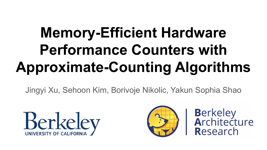# **Memory-Efficient Hardware Performance Counters with Approximate-Counting Algorithms**

Jingyi Xu, Sehoon Kim, Borivoje Nikolic, Yakun Sophia Shao





**Berkeley<br>Architecture** Research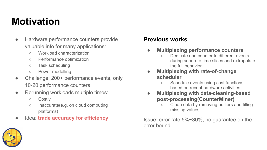# **Motivation**

- Hardware performance counters provide valuable info for many applications:
	- Workload characterization
	- Performance optimization
	- Task scheduling
	- Power modelling
- Challenge: 200+ performance events, only 10-20 performance counters
- Rerunning workloads multiple times:
	- Costly
	- Inaccurate(e.g. on cloud computing platforms)
- **Idea: trade accuracy for efficiency**

#### **Previous works**

- **● Multiplexing performance counters**
	- Dedicate one counter to different events during separate time slices and extrapolate the full behavior
- **● Multiplexing with rate-of-change scheduler**
	- Schedule events using cost functions based on recent hardware activities
- **● Multiplexing with data-cleaning-based post-processing(CounterMiner)**
	- Clean data by removing outliers and filling missing values

Issue: error rate 5%~30%, no guarantee on the error bound

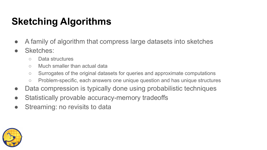# **Sketching Algorithms**

- A family of algorithm that compress large datasets into sketches
- Sketches:
	- Data structures
	- Much smaller than actual data
	- Surrogates of the original datasets for queries and approximate computations
	- Problem-specific, each answers one unique question and has unique structures
- Data compression is typically done using probabilistic techniques
- Statistically provable accuracy-memory tradeoffs
- Streaming: no revisits to data

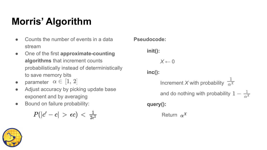# **Morris' Algorithm**

- Counts the number of events in a data stream
- One of the first **approximate-counting algorithms** that increment counts probabilistically instead of deterministically to save memory bits
- parameter  $\alpha \in [1, 2]$
- Adjust accuracy by picking update base exponent and by averaging
- Bound on failure probability:

$$
|P(|c'-c|~>~\epsilon c)~<~\tfrac{1}{2\epsilon^2}
$$

**Pseudocode:** 

```
init():
```
*X* ← 0 **inc():**

Increment *X* with probability  $\frac{1}{\alpha^X}$ and do nothing with probability  $1 - \frac{1}{\alpha^X}$ **query():**

Return  $\alpha^X$ 

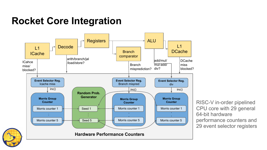### **Rocket Core Integration**



RISC-V in-order pipelined CPU core with 29 general 64-bit hardware performance counters and 29 event selector registers

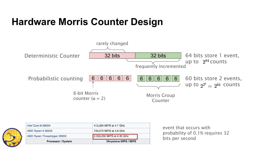### **Hardware Morris Counter Design**



| <b>Processor / System</b>    | <b>Dhrystone MIPS / MIPS</b> |  |
|------------------------------|------------------------------|--|
| AMD Ryzen Threadripper 3990X | 2,356,230 MIPS at 4.35 GHz   |  |
| AMD Ryzen 9 3950X            | 749,070 MIPS at 4.6 GHz      |  |
| Intel Core i9-9900K          | 412,090 MIPS at 4.7 GHz      |  |

event that occurs with probability of 0.1% requires 32 bits per second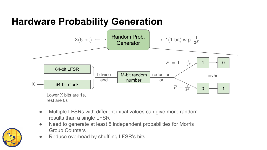# **Hardware Probability Generation**



- Multiple LFSRs with different initial values can give more random results than a single LFSR
- Need to generate at least 5 independent probabilities for Morris Group Counters
- Reduce overhead by shuffling LFSR's bits

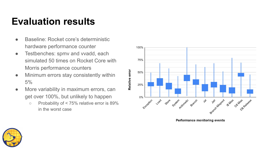# **Evaluation results**

- Baseline: Rocket core's deterministic hardware performance counter
- Testbenches: spmv and vvadd, each simulated 50 times on Rocket Core with Morris performance counters
- Minimum errors stay consistently within 5%
- More variability in maximum errors, can get over 100%, but unlikely to happen
	- Probability of < 75% relative error is 89% in the worst case



**Performance monitoring events**